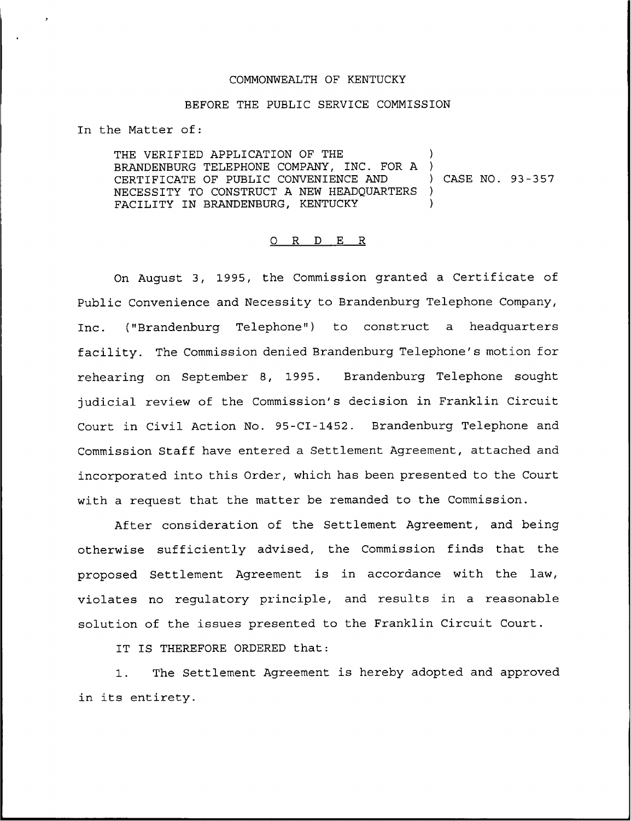## COMMONWEALTH OF KENTUCKY

# BEFORE THE PUBLIC SERVICE COMMISSION

In the Matter of:

THE VERIFIED APPLICATION OF THE ) BRANDENBURG TELEPHONE COMPANY, INC. FOR A )<br>CERTIFICATE OF PUBLIC CONVENIENCE AND ) CASE NO. 93-357 CERTIFICATE OF PUBLIC CONVENIENCE AND NECESSITY TO CONSTRUCT A NEW HEADQUARTERS ) FACILITY IN BRANDENBURG, KENTUCKY

### 0 <sup>R</sup> <sup>D</sup> E R

On August 3, 1995, the Commission granted a Certificate of Public Convenience and Necessity to Brandenburg Telephone Company, Inc. ("Brandenburg Telephone") to construct a headquarters facility. The Commission denied Brandenburg Telephone's motion for rehearing on September 8, 1995. Brandenburg Telephone sought judicial review of the Commission's decision in Franklin Circuit Court in Civil Action No. 95-CI-1452. Brandenburg Telephone and Commission Staff have entered a Settlement Agreement, attached and incorporated into this Order, which has been presented to the Court with a request that the matter be remanded to the Commission.

After consideration of the Settlement Agreement, and being otherwise sufficiently advised, the Commission finds that the proposed Settlement Agreement is in accordance with the law, violates no regulatory principle, and results in a reasonable solution of the issues presented to the Franklin Circuit Court.

IT IS THEREFORE ORDERED that:

1. The Settlement Agreement is hereby adopted and approved in its entirety.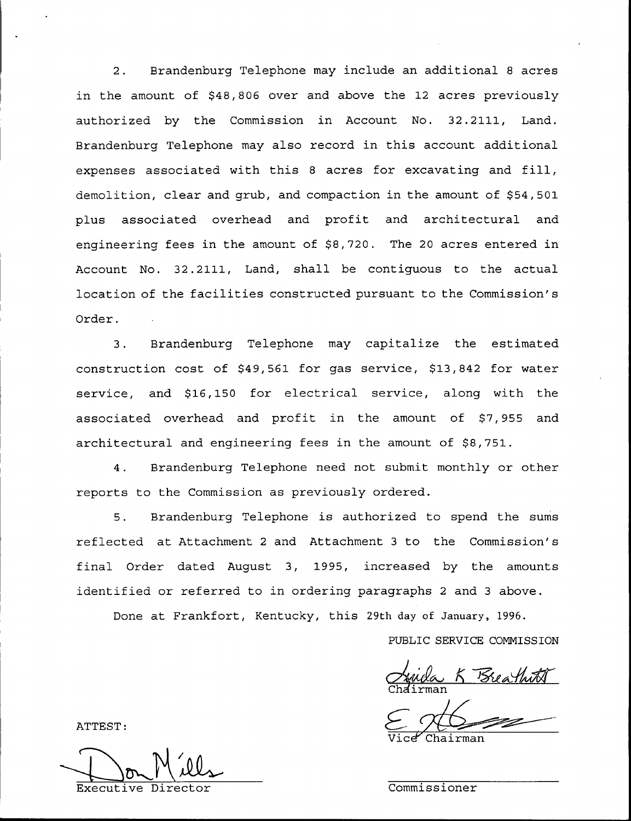2. Brandenburg Telephone may include an additional <sup>8</sup> acres in the amount of \$48,806 over and above the 12 acres previously authorized by the Commission in Account No. 32.2111, Land. Brandenburg Telephone may also record in this account additional expenses associated with this <sup>8</sup> acres for excavating and fill, demolition, clear and grub, and compaction in the amount of \$54,501 plus associated overhead and profit and architectural and engineering fees in the amount of \$8,720. The 20 acres entered in Account No. 32.2111, Land, shall be contiguous to the actual location of the facilities constructed pursuant to the Commission' Order.

3. Brandenburg Telephone may capitalize the estimated construction cost of \$49,561 for gas service, \$13,842 for water service, and \$16,150 for electrical service, along with the associated overhead and profit in the amount of \$7,955 and architectural and engineering fees in the amount of \$8,751.

4. Brandenburg Telephone need not submit monthly or other reports to the Commission as previously ordered.

5. Brandenburg Telephone is authorized to spend the sums reflected at Attachment <sup>2</sup> and Attachment <sup>3</sup> to the Commission's final Order dated August 3, 1995, increased by the amounts identified or referred to in ordering paragraphs <sup>2</sup> and <sup>3</sup> above.

Done at Frankfort, Kentucky, this 29th day of January, 1996.

PUBLIC SERVICE COMMISSION

<u>Suida K Brea</u>

Chairman

ATTEST:

Executive Director Commissioner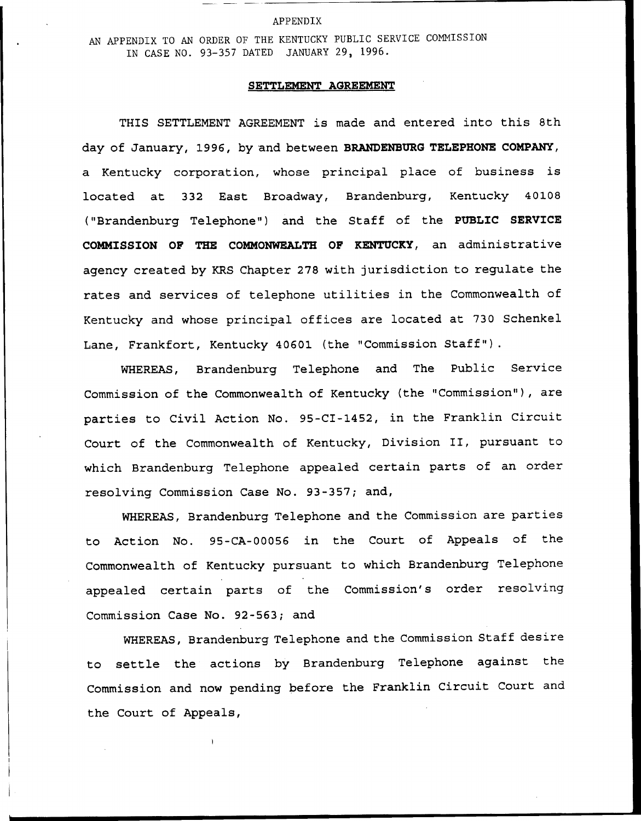#### APPENDIX

AN APPENDIX TO AN ORDER OF THE KENTUCKY PUBLIC SERVICE COMNISSION IN CASE NO. 93-357 DATED JANUARY 29, 1996.

# SETTLEMENT AGREEMENT

THIS SETTLEMENT AGREEMENT is made and entered into this 8th day of January, 1996, by and between BRANDENBURG TELEPHONE COMPANY, a Kentucky corporation, whose principal place of business is located at 332 East Broadway, Brandenburg, Kentucky 40108 ("Brandenburg Telephone") and the Staff of the PUBLIC SERVICE COMMISSION OF THE COMMONWEALTH OF KENTUCKY, an administrative agency created by KRS Chapter 278 with jurisdiction to regulate the rates and services of telephone utilities in the Commonwealth of Kentucky and whose principal offices are located at 730 Schenkel Lane, Frankfort, Kentucky 40601 (the "Commission Staff").

WHEREAS, Brandenburg Telephone and The Public Service Commission of the Commonwealth of Kentucky (the "Commission" ), are parties to Civil Action No. 95-CI-1452, in the Franklin Circuit Court of the Commonwealth of Kentucky, Division II, pursuant to which Brandenburg Telephone appealed certain parts of an order resolving Commission Case No. 93-357; and,

WHEREAS, Brandenburg Telephone and the Commission are parties to Action No. 95-CA-00056 in the Court of Appeals of the Commonwealth of Kentucky pursuant to which Brandenburg Telephone appealed certain parts of the Commission's order resolving Commission Case No. 92-563; and

WHEREAS, Brandenburg Telephone and the Commission Staff desire to settle the actions by Brandenburg Telephone against the Commission and now pending before the Franklin Circuit Court and the Court of Appeals,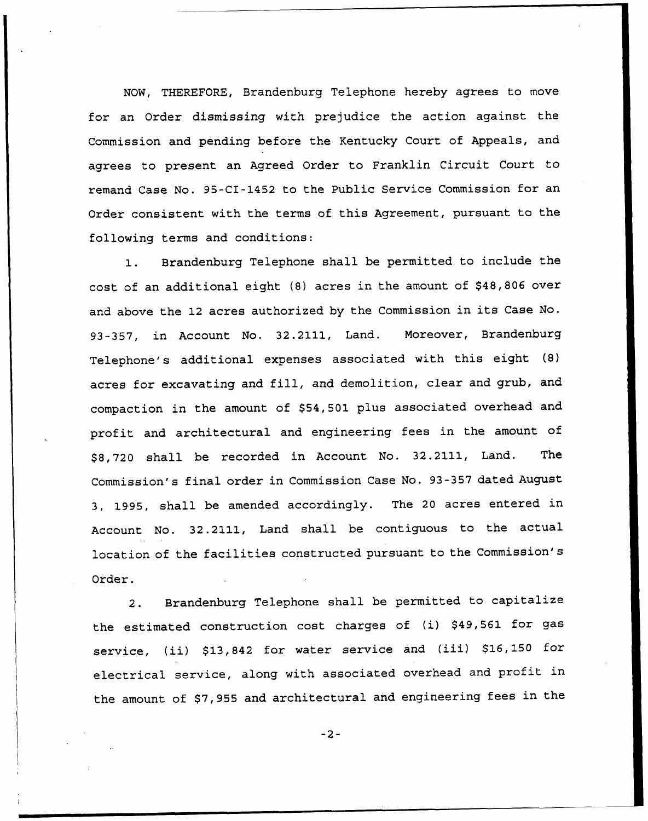NOW, THEREFORE, Brandenburg Telephone hereby agrees to move for an Order dismissing with prejudice the action against the Commission and pending before the Kentucky Court of Appeals, and agrees to present an Agreed Order to Franklin Circuit Court to remand Case No. 95-CI-1452 to the Public Service Commission for an Order consistent with the terms of this Agreement, pursuant to the following terms and conditions:

1. Brandenburg Telephone shall be permitted to include the cost of an additional eight (8) acres in the amount of \$48,806 over and above the <sup>12</sup> acres authorized by the Commission in its Case No. 93-357, in Account No. 32.2111, Land. Moreover, Brandenburg Telephone's additional expenses associated with this eight (8) acres for excavating and fill, and demolition, clear and grub, and compaction in the amount of \$54,501 plus associated overhead and profit and architectural and engineering fees in the amount of \$ 8,720 shall be recorded in Account No. 32.2111, Land. The Commission's final order in Commission Case No. 93-357 dated August 3, 1995, shall be amended accordingly. The <sup>20</sup> acres entered in Account No. 32.2111, Land shall be contiguous to the actual location of the facilities constructed pursuant to the Commission's Order.

2. Brandenburg Telephone shall be permitted to capitalize the estimated construction cost charges of (i) \$49,561 for gas service, (ii) \$13,842 for water service and (iii) \$16,150 for electrical service, along with associated overhead and profit in the amount of \$7,955 and architectural and engineering fees in the

 $-2-$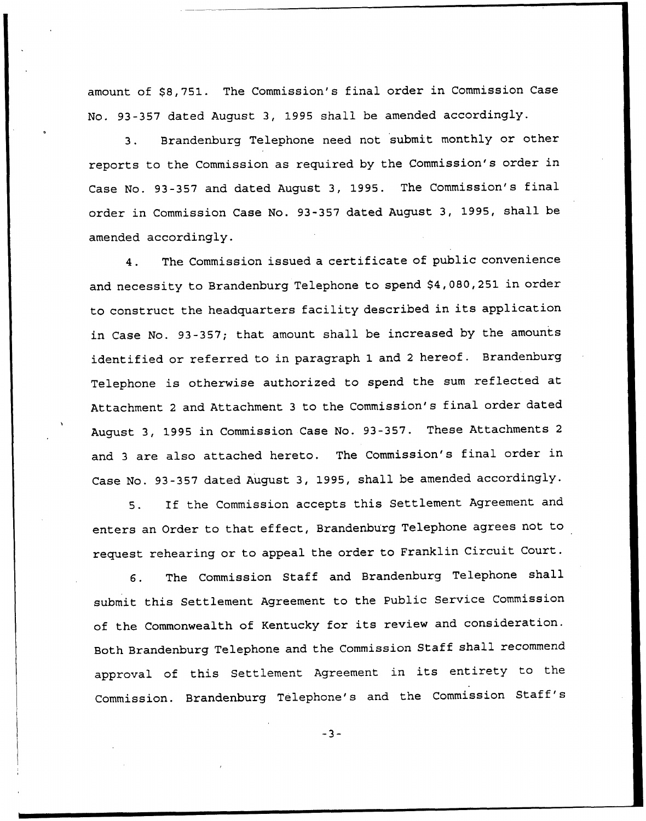amount of \$8,751. The Commission's final order in Commission Case No. 93-357 dated August 3, 1995 shall be amended accordingly.

3. Brandenburg Telephone need not submit monthly or other reports to the Commission as required by the Commission's order in Case No. 93-357 and dated August 3, 1995. The Commission's final order in Commission Case No. 93-357 dated August 3, 1995, shall be amended accordingly.

4. The Commission issued a certificate of public convenience and necessity to Brandenburg Telephone to spend \$4,080,251 in order to construct the headquarters facility described in its application in Case No. 93-357; that amount shall be increased by the amounts identified or referred to in paragraph 1 and <sup>2</sup> hereof. Brandenburg Telephone is otherwise authorized to spend the sum reflected at Attachment <sup>2</sup> and Attachment <sup>3</sup> to the Commission's final order dated August 3, 1995 in Commission Case No. 93-357. These Attachments <sup>2</sup> and <sup>3</sup> are also attached hereto. The Commission's final order in Case No. 93-357 dated August 3, 1995, shall be amended accordingly.

5. If the Commission accepts this Settlement Agreement and enters an Order to that effect, Brandenburg Telephone agrees not to request rehearing or to appeal the order to Franklin Circuit Court.

6. The Commission Staff and Brandenburg Telephone shall submit this Settlement Agreement to the Public Service Commission of the Commonwealth of Kentucky for its review and consideration. Both Brandenburg Telephone and the Commission Staff shall recommend approval of this Settlement Agreement in its entirety to the Commission. Brandenburg Telephone's and the Commission Staff

 $-3-$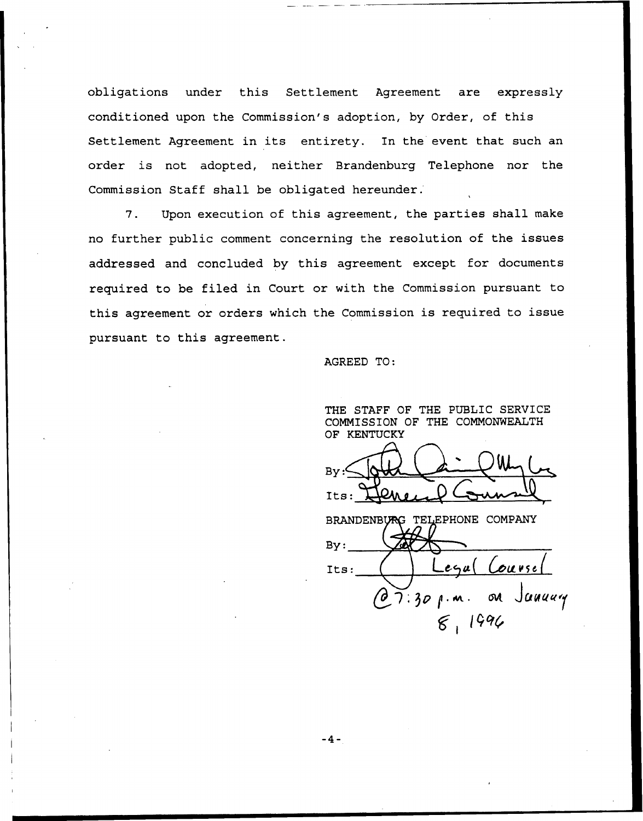obligations under this Settlement Agreement are expressly conditioned upon the Commission's adoption, by Order, of this Settlement Agreement in its entirety. In the event that such an order is not adopted, neither Brandenburg Telephone nor the Commission Staff shall be obligated hereunder.

7. Upon execution of this agreement, the parties shall make no further public comment concerning the resolution of the issues addressed and concluded by this agreement except for documents required to be filed in Court or with the Commission pursuant to this agreement or orders which the Commission is required to issue pursuant to this agreement.

AGREED TO:

THE STAFF OF THE PUBLIC SERVICE COMMISSION OF THE COMMONWEALTH OF KENTUCKY  $-L_{\text{max}}$ Bv  $Its:$ BRANDENBURG TELEPHONE COMPANY By: Its:  $\left( \begin{array}{c} \end{array} \right)$  Legal Course  $O(7:30$  p.m. on January  $8.1996$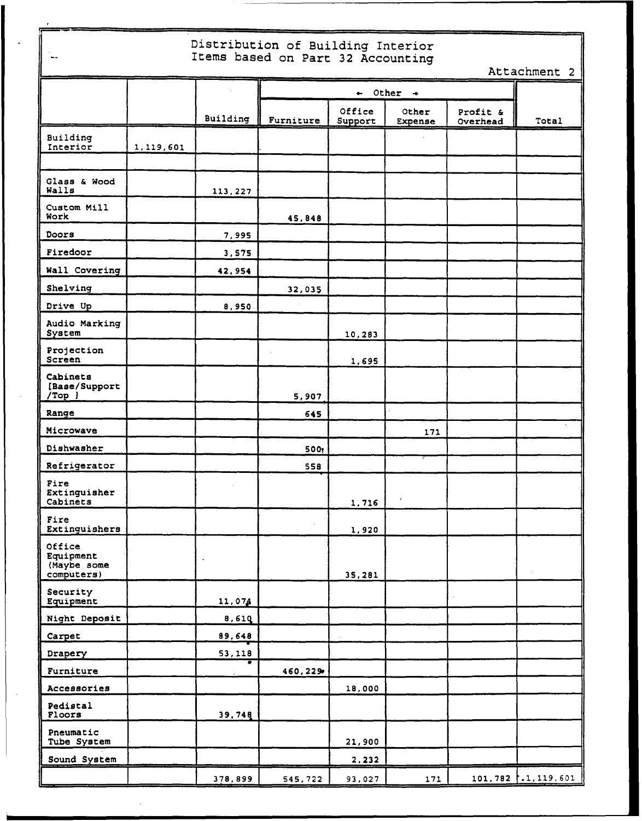| Distribution of Building Interior<br>Items based on Part 32 Accounting<br>$\overline{\phantom{m}}$<br>Attachment 2 |           |          |                                  |                   |                  |                      |                         |  |  |
|--------------------------------------------------------------------------------------------------------------------|-----------|----------|----------------------------------|-------------------|------------------|----------------------|-------------------------|--|--|
|                                                                                                                    |           |          | $\leftarrow$ Other $\rightarrow$ |                   |                  |                      |                         |  |  |
|                                                                                                                    |           | Building | Furniture                        | Office<br>Support | Other<br>Expense | Profit &<br>Overhead | Total                   |  |  |
| Building<br>Interior                                                                                               | 1,119,601 |          |                                  |                   |                  |                      |                         |  |  |
|                                                                                                                    |           |          |                                  |                   |                  |                      |                         |  |  |
| Glass & Wood<br>Walls                                                                                              |           | 113,227  |                                  |                   |                  |                      |                         |  |  |
| Custom Mill<br>Work                                                                                                |           |          | 45,848                           |                   |                  |                      |                         |  |  |
| Doors                                                                                                              |           | 7,995    |                                  |                   |                  |                      |                         |  |  |
| Firedoor                                                                                                           |           | 3,575    |                                  |                   |                  |                      |                         |  |  |
| Wall Covering                                                                                                      |           | 42,954   |                                  |                   |                  |                      |                         |  |  |
| Shelving                                                                                                           |           |          | 32,035                           |                   |                  |                      |                         |  |  |
| Drive Up                                                                                                           |           | 8,950    |                                  |                   |                  |                      |                         |  |  |
| Audio Marking<br>System                                                                                            |           |          |                                  | 10,283            |                  |                      |                         |  |  |
| Projection<br>Screen                                                                                               |           |          |                                  | 1,695             |                  |                      |                         |  |  |
| Cabinets<br>[Base/Support<br>$/Top$ ]                                                                              |           |          | 5,907                            |                   |                  |                      |                         |  |  |
| Range                                                                                                              |           |          | 645                              |                   |                  |                      |                         |  |  |
| Microwave                                                                                                          |           |          |                                  |                   | 171              |                      |                         |  |  |
| Dishwasher                                                                                                         |           |          | 500,                             |                   |                  |                      |                         |  |  |
| Refrigerator                                                                                                       |           |          | 558                              |                   |                  |                      |                         |  |  |
| Fire<br>Extinguisher<br>Cabinets                                                                                   |           |          |                                  | 1,716             | $\pmb{\prime}$   |                      |                         |  |  |
| Fire<br>Extinguishers                                                                                              |           |          |                                  | 1,920             |                  |                      |                         |  |  |
| Office<br>Equipment<br>(Maybe some<br>computers)                                                                   |           |          |                                  | 35,281            |                  |                      |                         |  |  |
| Security<br>Equipment                                                                                              |           | 11,074   |                                  |                   |                  |                      |                         |  |  |
| Night Deposit                                                                                                      |           | 8,610    |                                  |                   |                  |                      |                         |  |  |
| Carpet                                                                                                             |           | 89,648   |                                  |                   |                  |                      |                         |  |  |
| Drapery                                                                                                            |           | 53,118   |                                  |                   |                  |                      |                         |  |  |
| Furniture                                                                                                          |           |          | 460,229                          |                   |                  |                      |                         |  |  |
| Accessories                                                                                                        |           |          |                                  | 18,000            |                  |                      |                         |  |  |
| Pedistal<br>Floors                                                                                                 |           | 39,748   |                                  |                   |                  |                      |                         |  |  |
| Pneumatic<br>Tube System                                                                                           |           |          |                                  | 21,900            |                  |                      |                         |  |  |
| Sound System                                                                                                       |           |          |                                  | 2,232             |                  |                      |                         |  |  |
|                                                                                                                    |           | 378,899  | 545,722                          | 93,027            | 171              |                      | $101, 782$ .1, 119, 601 |  |  |

 $\mathcal{A}$